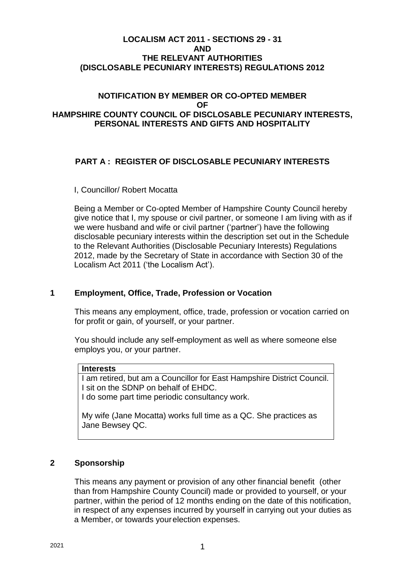## **LOCALISM ACT 2011 - SECTIONS 29 - 31 AND THE RELEVANT AUTHORITIES (DISCLOSABLE PECUNIARY INTERESTS) REGULATIONS 2012**

## **NOTIFICATION BY MEMBER OR CO-OPTED MEMBER OF HAMPSHIRE COUNTY COUNCIL OF DISCLOSABLE PECUNIARY INTERESTS, PERSONAL INTERESTS AND GIFTS AND HOSPITALITY**

# **PART A : REGISTER OF DISCLOSABLE PECUNIARY INTERESTS**

## I, Councillor/ Robert Mocatta

Being a Member or Co-opted Member of Hampshire County Council hereby give notice that I, my spouse or civil partner, or someone I am living with as if we were husband and wife or civil partner ('partner') have the following disclosable pecuniary interests within the description set out in the Schedule to the Relevant Authorities (Disclosable Pecuniary Interests) Regulations 2012, made by the Secretary of State in accordance with Section 30 of the Localism Act 2011 ('the Localism Act').

## **1 Employment, Office, Trade, Profession or Vocation**

This means any employment, office, trade, profession or vocation carried on for profit or gain, of yourself, or your partner.

You should include any self-employment as well as where someone else employs you, or your partner.

#### **Interests**

I am retired, but am a Councillor for East Hampshire District Council. I sit on the SDNP on behalf of EHDC. I do some part time periodic consultancy work.

My wife (Jane Mocatta) works full time as a QC. She practices as Jane Bewsey QC.

## **2 Sponsorship**

This means any payment or provision of any other financial benefit (other than from Hampshire County Council) made or provided to yourself, or your partner, within the period of 12 months ending on the date of this notification, in respect of any expenses incurred by yourself in carrying out your duties as a Member, or towards yourelection expenses.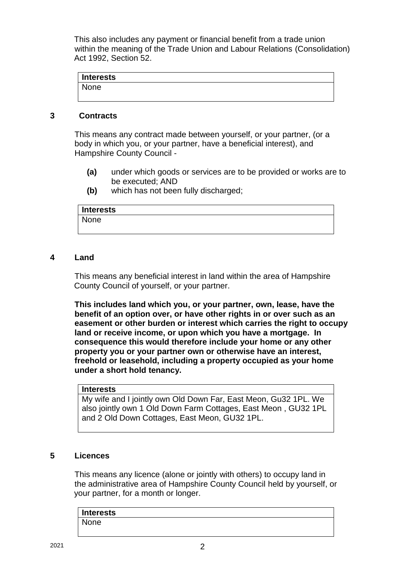This also includes any payment or financial benefit from a trade union within the meaning of the Trade Union and Labour Relations (Consolidation) Act 1992, Section 52.

| <b>Interests</b> |  |  |  |
|------------------|--|--|--|
| None             |  |  |  |
|                  |  |  |  |

# **3 Contracts**

This means any contract made between yourself, or your partner, (or a body in which you, or your partner, have a beneficial interest), and Hampshire County Council -

- **(a)** under which goods or services are to be provided or works are to be executed; AND
- **(b)** which has not been fully discharged;

| <b>Interests</b> |  |
|------------------|--|
| None             |  |
|                  |  |

## **4 Land**

This means any beneficial interest in land within the area of Hampshire County Council of yourself, or your partner.

**This includes land which you, or your partner, own, lease, have the benefit of an option over, or have other rights in or over such as an easement or other burden or interest which carries the right to occupy land or receive income, or upon which you have a mortgage. In consequence this would therefore include your home or any other property you or your partner own or otherwise have an interest, freehold or leasehold, including a property occupied as your home under a short hold tenancy.**

#### **Interests**

My wife and I jointly own Old Down Far, East Meon, Gu32 1PL. We also jointly own 1 Old Down Farm Cottages, East Meon , GU32 1PL and 2 Old Down Cottages, East Meon, GU32 1PL.

## **5 Licences**

This means any licence (alone or jointly with others) to occupy land in the administrative area of Hampshire County Council held by yourself, or your partner, for a month or longer.

| <b>Interests</b> |  |  |
|------------------|--|--|
| None             |  |  |
|                  |  |  |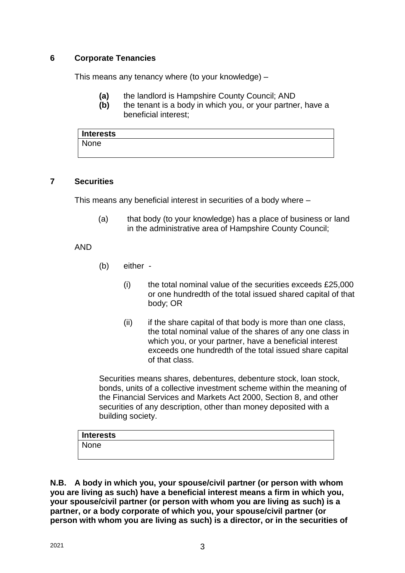# **6 Corporate Tenancies**

This means any tenancy where (to your knowledge) –

- **(a)** the landlord is Hampshire County Council; AND
- **(b)** the tenant is a body in which you, or your partner, have a beneficial interest;

| <b>Interests</b> |  |  |  |
|------------------|--|--|--|
| None             |  |  |  |
|                  |  |  |  |

# **7 Securities**

This means any beneficial interest in securities of a body where –

(a) that body (to your knowledge) has a place of business or land in the administrative area of Hampshire County Council;

# AND

- (b) either
	- $(i)$  the total nominal value of the securities exceeds £25,000 or one hundredth of the total issued shared capital of that body; OR
	- (ii) if the share capital of that body is more than one class, the total nominal value of the shares of any one class in which you, or your partner, have a beneficial interest exceeds one hundredth of the total issued share capital of that class.

Securities means shares, debentures, debenture stock, loan stock, bonds, units of a collective investment scheme within the meaning of the Financial Services and Markets Act 2000, Section 8, and other securities of any description, other than money deposited with a building society.

| Interests |  |  |
|-----------|--|--|
| None      |  |  |
|           |  |  |

**N.B. A body in which you, your spouse/civil partner (or person with whom you are living as such) have a beneficial interest means a firm in which you, your spouse/civil partner (or person with whom you are living as such) is a partner, or a body corporate of which you, your spouse/civil partner (or person with whom you are living as such) is a director, or in the securities of**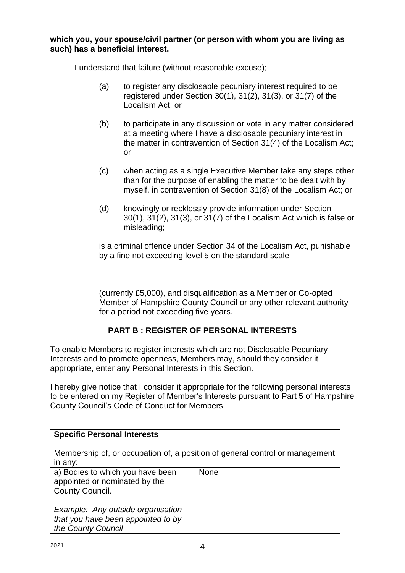### **which you, your spouse/civil partner (or person with whom you are living as such) has a beneficial interest.**

I understand that failure (without reasonable excuse);

- (a) to register any disclosable pecuniary interest required to be registered under Section 30(1), 31(2), 31(3), or 31(7) of the Localism Act; or
- (b) to participate in any discussion or vote in any matter considered at a meeting where I have a disclosable pecuniary interest in the matter in contravention of Section 31(4) of the Localism Act; or
- (c) when acting as a single Executive Member take any steps other than for the purpose of enabling the matter to be dealt with by myself, in contravention of Section 31(8) of the Localism Act; or
- (d) knowingly or recklessly provide information under Section 30(1), 31(2), 31(3), or 31(7) of the Localism Act which is false or misleading;

is a criminal offence under Section 34 of the Localism Act, punishable by a fine not exceeding level 5 on the standard scale

(currently £5,000), and disqualification as a Member or Co-opted Member of Hampshire County Council or any other relevant authority for a period not exceeding five years.

# **PART B : REGISTER OF PERSONAL INTERESTS**

To enable Members to register interests which are not Disclosable Pecuniary Interests and to promote openness, Members may, should they consider it appropriate, enter any Personal Interests in this Section.

I hereby give notice that I consider it appropriate for the following personal interests to be entered on my Register of Member's Interests pursuant to Part 5 of Hampshire County Council's Code of Conduct for Members.

| <b>Specific Personal Interests</b>                                                            |             |
|-----------------------------------------------------------------------------------------------|-------------|
| Membership of, or occupation of, a position of general control or management<br>in any:       |             |
| a) Bodies to which you have been<br>appointed or nominated by the<br>County Council.          | <b>None</b> |
| Example: Any outside organisation<br>that you have been appointed to by<br>the County Council |             |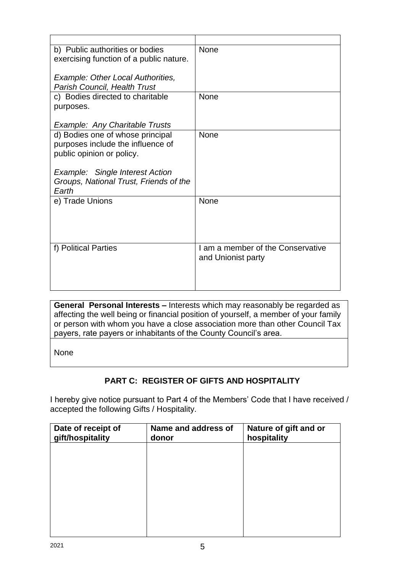| <b>None</b>                       |
|-----------------------------------|
|                                   |
|                                   |
|                                   |
| <b>None</b>                       |
|                                   |
|                                   |
|                                   |
| None                              |
|                                   |
|                                   |
|                                   |
|                                   |
|                                   |
| None                              |
|                                   |
|                                   |
|                                   |
|                                   |
| I am a member of the Conservative |
| and Unionist party                |
|                                   |
|                                   |
|                                   |

**General Personal Interests –** Interests which may reasonably be regarded as affecting the well being or financial position of yourself, a member of your family or person with whom you have a close association more than other Council Tax payers, rate payers or inhabitants of the County Council's area.

None

# **PART C: REGISTER OF GIFTS AND HOSPITALITY**

I hereby give notice pursuant to Part 4 of the Members' Code that I have received / accepted the following Gifts / Hospitality.

| Date of receipt of<br>gift/hospitality | Name and address of<br>donor | Nature of gift and or<br>hospitality |
|----------------------------------------|------------------------------|--------------------------------------|
|                                        |                              |                                      |
|                                        |                              |                                      |
|                                        |                              |                                      |
|                                        |                              |                                      |
|                                        |                              |                                      |